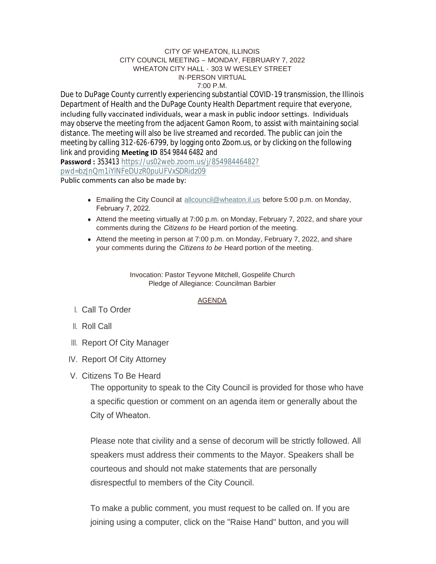#### CITY OF WHEATON, ILLINOIS CITY COUNCIL MEETING – MONDAY, FEBRUARY 7, 2022 WHEATON CITY HALL - 303 W WESLEY STREET IN-PERSON VIRTUAL 7:00 P.M.

Due to DuPage County currently experiencing substantial COVID-19 transmission, the Illinois Department of Health and the DuPage County Health Department require that everyone, including fully vaccinated individuals, wear a mask in public indoor settings. Individuals may observe the meeting from the adjacent Gamon Room, to assist with maintaining social distance. The meeting will also be live streamed and recorded. The public can join the meeting by calling 312-626-6799, by logging onto Zoom.us, or by clicking on the following link and providing **Meeting ID** 854 9844 6482 and

**Password :** 353413 [https://us02web.zoom.us/j/85498446482?](https://us02web.zoom.us/j/85498446482?pwd=bzJnQm1iYlNFeDUzR0puUFVxSDRidz09) pwd=bzJnQm1iYlNFeDUzR0puUFVxSDRidz09

Public comments can also be made by:

- Emailing the City Council at [allcouncil@wheaton.il.us](mailto:allcouncil@wheaton.il.us) before 5:00 p.m. on Monday, February 7, 2022.
- Attend the meeting virtually at 7:00 p.m. on Monday, February 7, 2022, and share your comments during the *Citizens to be* Heard portion of the meeting.
- Attend the meeting in person at 7:00 p.m. on Monday, February 7, 2022, and share your comments during the *Citizens to be* Heard portion of the meeting.

Invocation: Pastor Teyvone Mitchell, Gospelife Church Pledge of Allegiance: Councilman Barbier

## AGENDA

- Call To Order I.
- ll. Roll Call
- III. Report Of City Manager
- IV. Report Of City Attorney
- V. Citizens To Be Heard

The opportunity to speak to the City Council is provided for those who have a specific question or comment on an agenda item or generally about the City of Wheaton.

Please note that civility and a sense of decorum will be strictly followed. All speakers must address their comments to the Mayor. Speakers shall be courteous and should not make statements that are personally disrespectful to members of the City Council.

To make a public comment, you must request to be called on. If you are joining using a computer, click on the "Raise Hand" button, and you will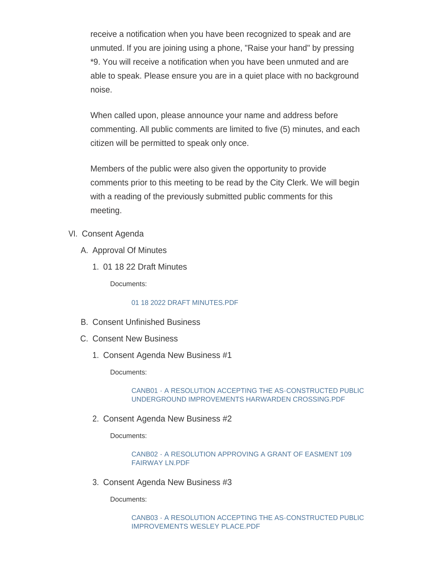receive a notification when you have been recognized to speak and are unmuted. If you are joining using a phone, "Raise your hand" by pressing \*9. You will receive a notification when you have been unmuted and are able to speak. Please ensure you are in a quiet place with no background noise.

When called upon, please announce your name and address before commenting. All public comments are limited to five (5) minutes, and each citizen will be permitted to speak only once.

Members of the public were also given the opportunity to provide comments prior to this meeting to be read by the City Clerk. We will begin with a reading of the previously submitted public comments for this meeting.

- VI. Consent Agenda
	- A. Approval Of Minutes
		- 01 18 22 Draft Minutes 1.

Documents:

# [01 18 2022 DRAFT MINUTES.PDF](https://www.wheaton.il.us/AgendaCenter/ViewFile/Item/8423?fileID=10833)

- B. Consent Unfinished Business
- C. Consent New Business
	- 1. Consent Agenda New Business #1

Documents:

## [CANB01 - A RESOLUTION ACCEPTING THE AS-CONSTRUCTED PUBLIC](https://www.wheaton.il.us/AgendaCenter/ViewFile/Item/8426?fileID=10834)  UNDERGROUND IMPROVEMENTS HARWARDEN CROSSING.PDF

2. Consent Agenda New Business #2

Documents:

## [CANB02 - A RESOLUTION APPROVING A GRANT OF EASMENT 109](https://www.wheaton.il.us/AgendaCenter/ViewFile/Item/8427?fileID=10835)  FAIRWAY LN.PDF

Consent Agenda New Business #3 3.

Documents: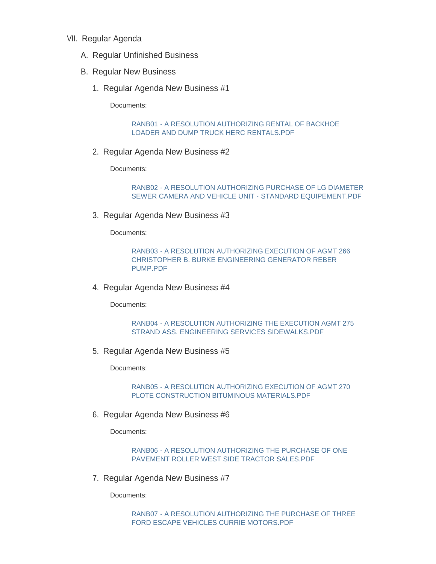- VII. Regular Agenda
	- A. Regular Unfinished Business
	- B. Regular New Business
		- 1. Regular Agenda New Business #1

Documents:

#### [RANB01 - A RESOLUTION AUTHORIZING RENTAL OF BACKHOE](https://www.wheaton.il.us/AgendaCenter/ViewFile/Item/8432?fileID=10837)  LOADER AND DUMP TRUCK HERC RENTALS.PDF

2. Regular Agenda New Business #2

Documents:

[RANB02 - A RESOLUTION AUTHORIZING PURCHASE OF LG DIAMETER](https://www.wheaton.il.us/AgendaCenter/ViewFile/Item/8433?fileID=10838)  SEWER CAMERA AND VEHICLE UNIT - STANDARD EQUIPEMENT.PDF

3. Regular Agenda New Business #3

Documents:

[RANB03 - A RESOLUTION AUTHORIZING EXECUTION OF AGMT 266](https://www.wheaton.il.us/AgendaCenter/ViewFile/Item/8434?fileID=10839)  CHRISTOPHER B. BURKE ENGINEERING GENERATOR REBER PUMP.PDF

4. Regular Agenda New Business #4

Documents:

[RANB04 - A RESOLUTION AUTHORIZING THE EXECUTION AGMT 275](https://www.wheaton.il.us/AgendaCenter/ViewFile/Item/8435?fileID=10840)  STRAND ASS. ENGINEERING SERVICES SIDEWALKS.PDF

5. Regular Agenda New Business #5

Documents:

[RANB05 - A RESOLUTION AUTHORIZING EXECUTION OF AGMT 270](https://www.wheaton.il.us/AgendaCenter/ViewFile/Item/8436?fileID=10841)  PLOTE CONSTRUCTION BITUMINOUS MATERIALS.PDF

6. Regular Agenda New Business #6

Documents:

[RANB06 - A RESOLUTION AUTHORIZING THE PURCHASE OF ONE](https://www.wheaton.il.us/AgendaCenter/ViewFile/Item/8437?fileID=10842)  PAVEMENT ROLLER WEST SIDE TRACTOR SALES.PDF

7. Regular Agenda New Business #7

Documents:

[RANB07 - A RESOLUTION AUTHORIZING THE PURCHASE OF THREE](https://www.wheaton.il.us/AgendaCenter/ViewFile/Item/8438?fileID=10843)  FORD ESCAPE VEHICLES CURRIE MOTORS.PDF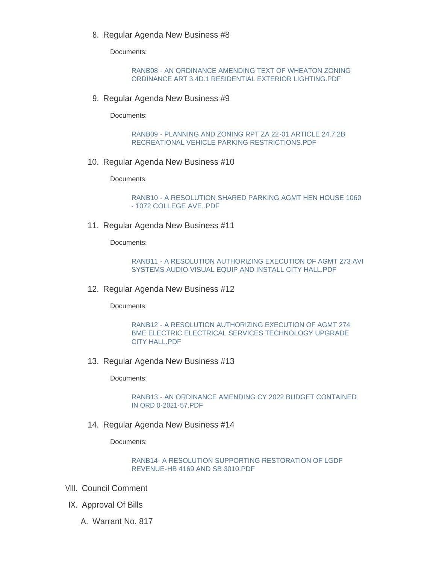8. Regular Agenda New Business #8

Documents:

[RANB08 - AN ORDINANCE AMENDING TEXT OF WHEATON ZONING](https://www.wheaton.il.us/AgendaCenter/ViewFile/Item/8439?fileID=10844)  ORDINANCE ART 3.4D.1 RESIDENTIAL EXTERIOR LIGHTING.PDF

9. Regular Agenda New Business #9

Documents:

[RANB09 - PLANNING AND ZONING RPT ZA 22-01 ARTICLE 24.7.2B](https://www.wheaton.il.us/AgendaCenter/ViewFile/Item/8440?fileID=10845)  RECREATIONAL VEHICLE PARKING RESTRICTIONS.PDF

10. Regular Agenda New Business #10

Documents:

[RANB10 - A RESOLUTION SHARED PARKING AGMT HEN HOUSE 1060](https://www.wheaton.il.us/AgendaCenter/ViewFile/Item/8441?fileID=10846)  - 1072 COLLEGE AVE..PDF

11. Regular Agenda New Business #11

Documents:

[RANB11 - A RESOLUTION AUTHORIZING EXECUTION OF AGMT 273 AVI](https://www.wheaton.il.us/AgendaCenter/ViewFile/Item/8442?fileID=10847)  SYSTEMS AUDIO VISUAL EQUIP AND INSTALL CITY HALL.PDF

12. Regular Agenda New Business #12

Documents:

RANB12 - A RESOLUTION AUTHORIZING EXECUTION OF AGMT 274 [BME ELECTRIC ELECTRICAL SERVICES TECHNOLOGY UPGRADE](https://www.wheaton.il.us/AgendaCenter/ViewFile/Item/8443?fileID=10848)  CITY HALL.PDF

13. Regular Agenda New Business #13

Documents:

[RANB13 - AN ORDINANCE AMENDING CY 2022 BUDGET CONTAINED](https://www.wheaton.il.us/AgendaCenter/ViewFile/Item/8444?fileID=10849)  IN ORD 0-2021-57.PDF

14. Regular Agenda New Business #14

Documents:

#### [RANB14- A RESOLUTION SUPPORTING RESTORATION OF LGDF](https://www.wheaton.il.us/AgendaCenter/ViewFile/Item/8445?fileID=10850)  REVENUE-HB 4169 AND SB 3010.PDF

- VIII. Council Comment
- IX. Approval Of Bills
	- A. Warrant No. 817